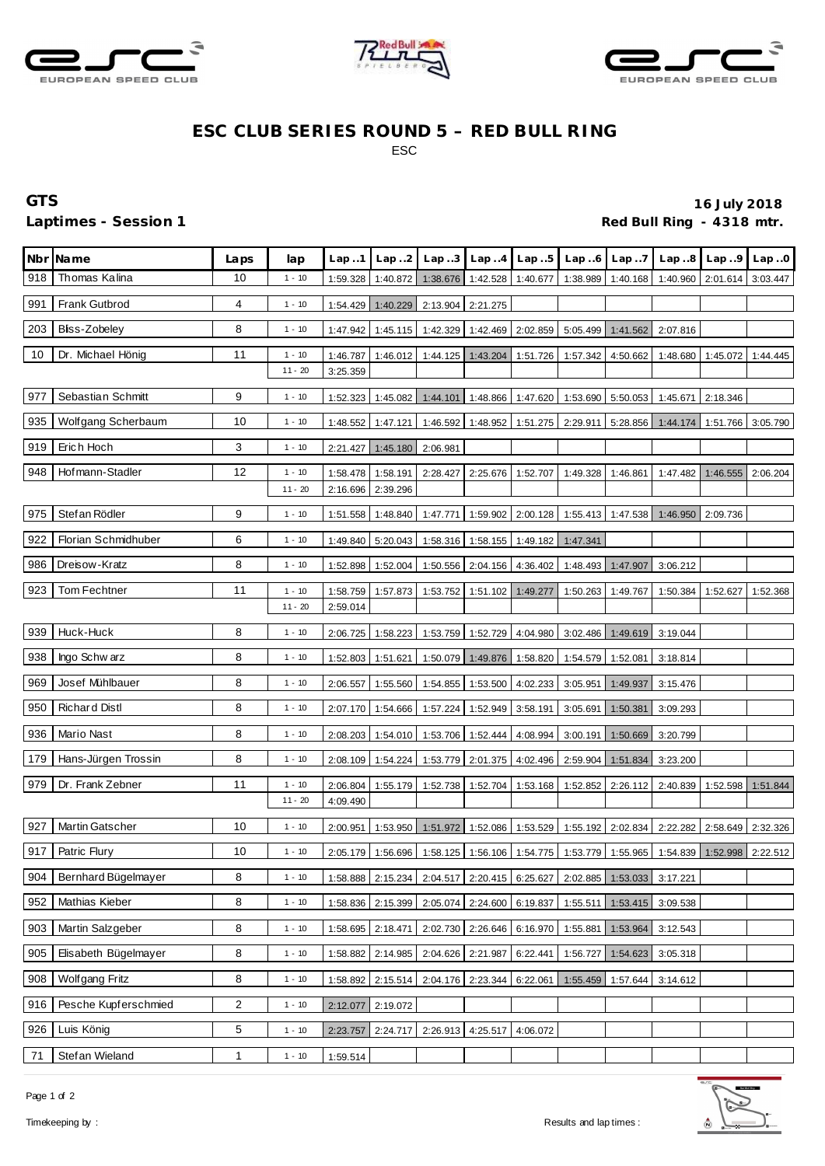





## **ESC CLUB SERIES ROUND 5 – RED BULL RING** ESC

## **GTS 16 July 2018** Laptimes - Session 1 *Red Bull Ring - 4318 mtr.* **Red Bull Ring - 4318 mtr.**

|     | Nbr Name             | Laps | lap       | Lap.1    | Lap2     | Lap.3    | Lap.4                      | Lap.5             | Lap.6                               | Lap.7             |          | Lap8 Lap9         | Lap.0    |
|-----|----------------------|------|-----------|----------|----------|----------|----------------------------|-------------------|-------------------------------------|-------------------|----------|-------------------|----------|
| 918 | Thomas Kalina        | 10   | $1 - 10$  | 1:59.328 | 1:40.872 | 1:38.676 | 1:42.528                   | 1:40.677          | 1:38.989                            | 1:40.168          | 1:40.960 | 2:01.614          | 3:03.447 |
| 991 | Frank Gutbrod        | 4    | $1 - 10$  | 1:54.429 | 1:40.229 | 2:13.904 | 2:21.275                   |                   |                                     |                   |          |                   |          |
| 203 | Bliss-Zobeley        | 8    | $1 - 10$  | 1:47.942 | 1:45.115 | 1:42.329 | 1:42.469                   | 2:02.859          |                                     | 5:05.499 1:41.562 | 2:07.816 |                   |          |
| 10  | Dr. Michael Hönig    | 11   | $1 - 10$  | 1:46.787 | 1:46.012 | 1:44.125 | 1:43.204                   | 1:51.726          | 1:57.342                            | 4:50.662          | 1:48.680 | 1:45.072          | 1:44.445 |
|     |                      |      | $11 - 20$ | 3:25.359 |          |          |                            |                   |                                     |                   |          |                   |          |
| 977 | Sebastian Schmitt    | 9    | $1 - 10$  | 1:52.323 | 1:45.082 | 1:44.101 |                            | 1:48.866 1:47.620 |                                     | 1:53.690 5:50.053 | 1:45.671 | 2:18.346          |          |
| 935 | Wolfgang Scherbaum   | 10   | $1 - 10$  | 1:48.552 | 1:47.121 | 1:46.592 | 1:48.952                   | 1:51.275          | 2:29.911                            | 5:28.856          | 1:44.174 | 1:51.766          | 3:05.790 |
| 919 | Erich Hoch           | 3    | $1 - 10$  | 2:21.427 | 1:45.180 | 2:06.981 |                            |                   |                                     |                   |          |                   |          |
| 948 | Hofmann-Stadler      | 12   | $1 - 10$  | 1:58.478 | 1:58.191 | 2:28.427 | 2:25.676                   | 1:52.707          | 1:49.328                            | 1:46.861          | 1:47.482 | 1:46.555          | 2:06.204 |
|     |                      |      | $11 - 20$ | 2:16.696 | 2:39.296 |          |                            |                   |                                     |                   |          |                   |          |
| 975 | Stefan Rödler        | 9    | $1 - 10$  | 1:51.558 | 1:48.840 | 1:47.771 | 1:59.902                   | 2:00.128          |                                     | 1:55.413 1:47.538 | 1:46.950 | 2:09.736          |          |
| 922 | Florian Schmidhuber  | 6    | $1 - 10$  | 1:49.840 | 5:20.043 | 1:58.316 |                            | 1:58.155 1:49.182 | 1:47.341                            |                   |          |                   |          |
| 986 | Dreisow-Kratz        | 8    | $1 - 10$  | 1:52.898 | 1:52.004 | 1:50.556 | 2:04.156                   | 4:36.402          |                                     | 1:48.493 1:47.907 | 3:06.212 |                   |          |
| 923 | <b>Tom Fechtner</b>  | 11   | $1 - 10$  | 1:58.759 | 1:57.873 | 1:53.752 | 1:51.102                   | 1:49.277          | 1:50.263                            | 1:49.767          | 1:50.384 | 1:52.627          | 1:52.368 |
|     |                      |      | $11 - 20$ | 2:59.014 |          |          |                            |                   |                                     |                   |          |                   |          |
| 939 | Huck-Huck            | 8    | $1 - 10$  | 2:06.725 | 1:58.223 |          | 1:53.759 1:52.729          | 4:04.980          |                                     | 3:02.486 1:49.619 | 3:19.044 |                   |          |
| 938 | Ingo Schw arz        | 8    | $1 - 10$  | 1:52.803 | 1:51.621 |          | 1:50.079 1:49.876          | 1:58.820          |                                     | 1:54.579 1:52.081 | 3:18.814 |                   |          |
| 969 | Josef Mühlbauer      | 8    | $1 - 10$  | 2:06.557 | 1:55.560 | 1:54.855 |                            | 1:53.500 4:02.233 | 3:05.951                            | 1:49.937          | 3:15.476 |                   |          |
| 950 | <b>Richard Distl</b> | 8    | $1 - 10$  | 2:07.170 | 1:54.666 | 1:57.224 | 1:52.949                   | 3:58.191          | 3:05.691                            | 1:50.381          | 3:09.293 |                   |          |
| 936 | Mario Nast           | 8    | $1 - 10$  | 2:08.203 | 1:54.010 | 1:53.706 | 1:52.444                   | 4:08.994          | 3:00.191                            | 1:50.669          | 3:20.799 |                   |          |
| 179 | Hans-Jürgen Trossin  | 8    | $1 - 10$  | 2:08.109 | 1:54.224 | 1:53.779 | 2:01.375                   | 4:02.496          | 2:59.904                            | 1:51.834          | 3:23.200 |                   |          |
| 979 | Dr. Frank Zebner     | 11   | $1 - 10$  | 2:06.804 | 1:55.179 | 1:52.738 | 1:52.704                   | 1:53.168          | 1:52.852                            | 2:26.112          | 2:40.839 | 1:52.598          | 1:51.844 |
|     |                      |      | $11 - 20$ | 4:09.490 |          |          |                            |                   |                                     |                   |          |                   |          |
| 927 | Martin Gatscher      | 10   | $1 - 10$  | 2:00.951 | 1:53.950 | 1:51.972 | 1:52.086                   | 1:53.529          |                                     | 1:55.192 2:02.834 | 2:22.282 | 2:58.649          | 2:32.326 |
| 917 | Patric Flury         | 10   | $1 - 10$  | 2:05.179 | 1:56.696 | 1:58.125 |                            |                   | 1:56.106 1:54.775 1:53.779 1:55.965 |                   |          | 1:54.839 1:52.998 | 2:22.512 |
| 904 | Bernhard Bügelmayer  | 8    | $1 - 10$  | 1:58.888 | 2:15.234 | 2:04.517 |                            | 2:20.415 6:25.627 |                                     | 2:02.885 1:53.033 | 3:17.221 |                   |          |
| 952 | Mathias Kieber       | 8    | $1 - 10$  | 1:58.836 | 2:15.399 | 2:05.074 |                            | 2:24.600 6:19.837 | 1:55.511                            | 1:53.415          | 3:09.538 |                   |          |
| 903 | Martin Salzgeber     | 8    | $1 - 10$  | 1:58.695 | 2:18.471 |          | 2:02.730 2:26.646 6:16.970 |                   | 1:55.881                            | 1:53.964          | 3:12.543 |                   |          |
| 905 | Elisabeth Bügelmayer | 8    | $1 - 10$  | 1:58.882 | 2:14.985 | 2:04.626 | 2:21.987                   | 6:22.441          | 1:56.727                            | 1:54.623          | 3:05.318 |                   |          |
| 908 | Wolfgang Fritz       | 8    | $1 - 10$  | 1:58.892 | 2:15.514 |          | 2:04.176 2:23.344          | 6:22.061          | 1:55.459                            | 1:57.644          | 3:14.612 |                   |          |
| 916 | Pesche Kupferschmied | 2    | $1 - 10$  | 2:12.077 | 2:19.072 |          |                            |                   |                                     |                   |          |                   |          |
| 926 | Luis König           | 5    | $1 - 10$  | 2:23.757 | 2:24.717 |          | 2:26.913 4:25.517          | 4:06.072          |                                     |                   |          |                   |          |
| 71  | Stefan Wieland       | 1    | $1 - 10$  | 1:59.514 |          |          |                            |                   |                                     |                   |          |                   |          |